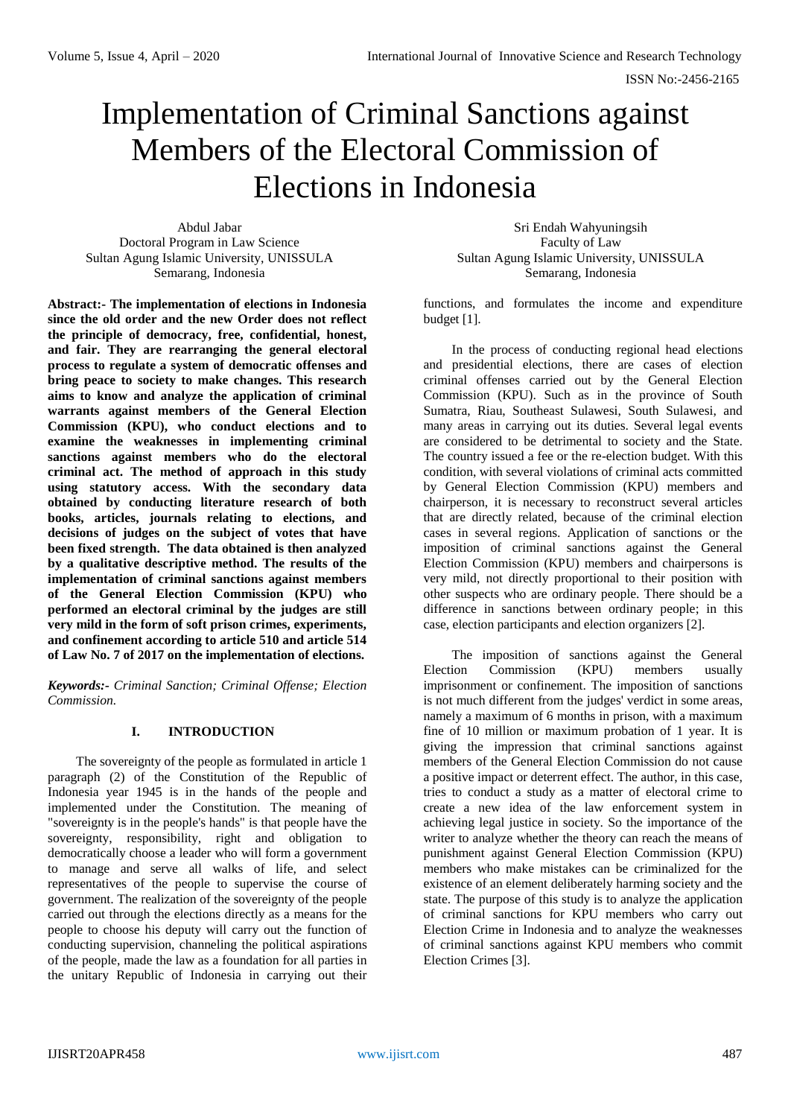# Implementation of Criminal Sanctions against Members of the Electoral Commission of Elections in Indonesia

Abdul Jabar Doctoral Program in Law Science Sultan Agung Islamic University, UNISSULA Semarang, Indonesia

**Abstract:- The implementation of elections in Indonesia since the old order and the new Order does not reflect the principle of democracy, free, confidential, honest, and fair. They are rearranging the general electoral process to regulate a system of democratic offenses and bring peace to society to make changes. This research aims to know and analyze the application of criminal warrants against members of the General Election Commission (KPU), who conduct elections and to examine the weaknesses in implementing criminal sanctions against members who do the electoral criminal act. The method of approach in this study using statutory access. With the secondary data obtained by conducting literature research of both books, articles, journals relating to elections, and decisions of judges on the subject of votes that have been fixed strength. The data obtained is then analyzed by a qualitative descriptive method. The results of the implementation of criminal sanctions against members of the General Election Commission (KPU) who performed an electoral criminal by the judges are still very mild in the form of soft prison crimes, experiments, and confinement according to article 510 and article 514 of Law No. 7 of 2017 on the implementation of elections.**

*Keywords:- Criminal Sanction; Criminal Offense; Election Commission.*

# **I. INTRODUCTION**

The sovereignty of the people as formulated in article 1 paragraph (2) of the Constitution of the Republic of Indonesia year 1945 is in the hands of the people and implemented under the Constitution. The meaning of "sovereignty is in the people's hands" is that people have the sovereignty, responsibility, right and obligation to democratically choose a leader who will form a government to manage and serve all walks of life, and select representatives of the people to supervise the course of government. The realization of the sovereignty of the people carried out through the elections directly as a means for the people to choose his deputy will carry out the function of conducting supervision, channeling the political aspirations of the people, made the law as a foundation for all parties in the unitary Republic of Indonesia in carrying out their

Sri Endah Wahyuningsih Faculty of Law Sultan Agung Islamic University, UNISSULA Semarang, Indonesia

functions, and formulates the income and expenditure budget [1].

In the process of conducting regional head elections and presidential elections, there are cases of election criminal offenses carried out by the General Election Commission (KPU). Such as in the province of South Sumatra, Riau, Southeast Sulawesi, South Sulawesi, and many areas in carrying out its duties. Several legal events are considered to be detrimental to society and the State. The country issued a fee or the re-election budget. With this condition, with several violations of criminal acts committed by General Election Commission (KPU) members and chairperson, it is necessary to reconstruct several articles that are directly related, because of the criminal election cases in several regions. Application of sanctions or the imposition of criminal sanctions against the General Election Commission (KPU) members and chairpersons is very mild, not directly proportional to their position with other suspects who are ordinary people. There should be a difference in sanctions between ordinary people; in this case, election participants and election organizers [2].

The imposition of sanctions against the General Election Commission (KPU) members usually imprisonment or confinement. The imposition of sanctions is not much different from the judges' verdict in some areas, namely a maximum of 6 months in prison, with a maximum fine of 10 million or maximum probation of 1 year. It is giving the impression that criminal sanctions against members of the General Election Commission do not cause a positive impact or deterrent effect. The author, in this case, tries to conduct a study as a matter of electoral crime to create a new idea of the law enforcement system in achieving legal justice in society. So the importance of the writer to analyze whether the theory can reach the means of punishment against General Election Commission (KPU) members who make mistakes can be criminalized for the existence of an element deliberately harming society and the state. The purpose of this study is to analyze the application of criminal sanctions for KPU members who carry out Election Crime in Indonesia and to analyze the weaknesses of criminal sanctions against KPU members who commit Election Crimes [3].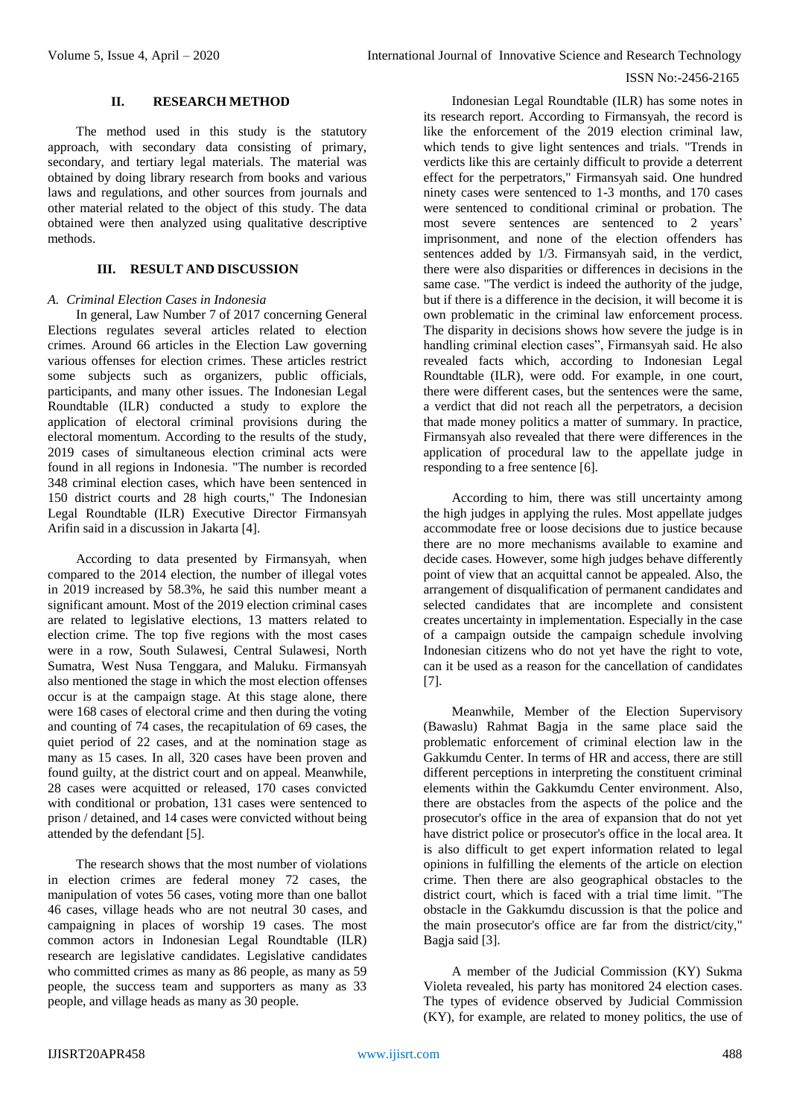# **II. RESEARCH METHOD**

The method used in this study is the statutory approach, with secondary data consisting of primary, secondary, and tertiary legal materials. The material was obtained by doing library research from books and various laws and regulations, and other sources from journals and other material related to the object of this study. The data obtained were then analyzed using qualitative descriptive methods.

# **III. RESULT AND DISCUSSION**

#### *A. Criminal Election Cases in Indonesia*

In general, Law Number 7 of 2017 concerning General Elections regulates several articles related to election crimes. Around 66 articles in the Election Law governing various offenses for election crimes. These articles restrict some subjects such as organizers, public officials, participants, and many other issues. The Indonesian Legal Roundtable (ILR) conducted a study to explore the application of electoral criminal provisions during the electoral momentum. According to the results of the study, 2019 cases of simultaneous election criminal acts were found in all regions in Indonesia. "The number is recorded 348 criminal election cases, which have been sentenced in 150 district courts and 28 high courts," The Indonesian Legal Roundtable (ILR) Executive Director Firmansyah Arifin said in a discussion in Jakarta [4].

According to data presented by Firmansyah, when compared to the 2014 election, the number of illegal votes in 2019 increased by 58.3%, he said this number meant a significant amount. Most of the 2019 election criminal cases are related to legislative elections, 13 matters related to election crime. The top five regions with the most cases were in a row, South Sulawesi, Central Sulawesi, North Sumatra, West Nusa Tenggara, and Maluku. Firmansyah also mentioned the stage in which the most election offenses occur is at the campaign stage. At this stage alone, there were 168 cases of electoral crime and then during the voting and counting of 74 cases, the recapitulation of 69 cases, the quiet period of 22 cases, and at the nomination stage as many as 15 cases. In all, 320 cases have been proven and found guilty, at the district court and on appeal. Meanwhile, 28 cases were acquitted or released, 170 cases convicted with conditional or probation, 131 cases were sentenced to prison / detained, and 14 cases were convicted without being attended by the defendant [5].

The research shows that the most number of violations in election crimes are federal money 72 cases, the manipulation of votes 56 cases, voting more than one ballot 46 cases, village heads who are not neutral 30 cases, and campaigning in places of worship 19 cases. The most common actors in Indonesian Legal Roundtable (ILR) research are legislative candidates. Legislative candidates who committed crimes as many as 86 people, as many as 59 people, the success team and supporters as many as 33 people, and village heads as many as 30 people.

Indonesian Legal Roundtable (ILR) has some notes in its research report. According to Firmansyah, the record is like the enforcement of the 2019 election criminal law, which tends to give light sentences and trials. "Trends in verdicts like this are certainly difficult to provide a deterrent effect for the perpetrators," Firmansyah said. One hundred ninety cases were sentenced to 1-3 months, and 170 cases were sentenced to conditional criminal or probation. The most severe sentences are sentenced to 2 years' imprisonment, and none of the election offenders has sentences added by 1/3. Firmansyah said, in the verdict, there were also disparities or differences in decisions in the same case. "The verdict is indeed the authority of the judge, but if there is a difference in the decision, it will become it is own problematic in the criminal law enforcement process. The disparity in decisions shows how severe the judge is in handling criminal election cases", Firmansyah said. He also revealed facts which, according to Indonesian Legal Roundtable (ILR), were odd. For example, in one court, there were different cases, but the sentences were the same, a verdict that did not reach all the perpetrators, a decision that made money politics a matter of summary. In practice, Firmansyah also revealed that there were differences in the application of procedural law to the appellate judge in responding to a free sentence [6].

According to him, there was still uncertainty among the high judges in applying the rules. Most appellate judges accommodate free or loose decisions due to justice because there are no more mechanisms available to examine and decide cases. However, some high judges behave differently point of view that an acquittal cannot be appealed. Also, the arrangement of disqualification of permanent candidates and selected candidates that are incomplete and consistent creates uncertainty in implementation. Especially in the case of a campaign outside the campaign schedule involving Indonesian citizens who do not yet have the right to vote, can it be used as a reason for the cancellation of candidates [7].

Meanwhile, Member of the Election Supervisory (Bawaslu) Rahmat Bagja in the same place said the problematic enforcement of criminal election law in the Gakkumdu Center. In terms of HR and access, there are still different perceptions in interpreting the constituent criminal elements within the Gakkumdu Center environment. Also, there are obstacles from the aspects of the police and the prosecutor's office in the area of expansion that do not yet have district police or prosecutor's office in the local area. It is also difficult to get expert information related to legal opinions in fulfilling the elements of the article on election crime. Then there are also geographical obstacles to the district court, which is faced with a trial time limit. "The obstacle in the Gakkumdu discussion is that the police and the main prosecutor's office are far from the district/city," Bagja said [3].

A member of the Judicial Commission (KY) Sukma Violeta revealed, his party has monitored 24 election cases. The types of evidence observed by Judicial Commission (KY), for example, are related to money politics, the use of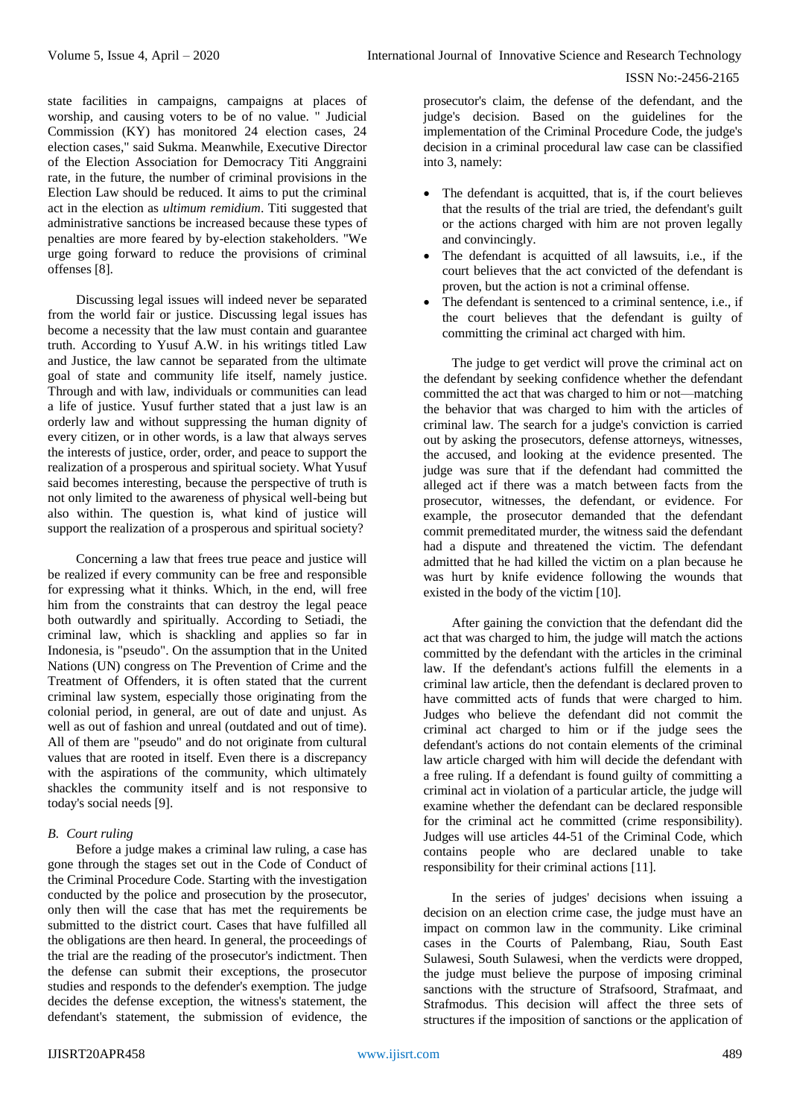state facilities in campaigns, campaigns at places of worship, and causing voters to be of no value. " Judicial Commission (KY) has monitored 24 election cases, 24 election cases," said Sukma. Meanwhile, Executive Director of the Election Association for Democracy Titi Anggraini rate, in the future, the number of criminal provisions in the Election Law should be reduced. It aims to put the criminal act in the election as *ultimum remidium*. Titi suggested that administrative sanctions be increased because these types of penalties are more feared by by-election stakeholders. "We urge going forward to reduce the provisions of criminal offenses [8].

Discussing legal issues will indeed never be separated from the world fair or justice. Discussing legal issues has become a necessity that the law must contain and guarantee truth. According to Yusuf A.W. in his writings titled Law and Justice, the law cannot be separated from the ultimate goal of state and community life itself, namely justice. Through and with law, individuals or communities can lead a life of justice. Yusuf further stated that a just law is an orderly law and without suppressing the human dignity of every citizen, or in other words, is a law that always serves the interests of justice, order, order, and peace to support the realization of a prosperous and spiritual society. What Yusuf said becomes interesting, because the perspective of truth is not only limited to the awareness of physical well-being but also within. The question is, what kind of justice will support the realization of a prosperous and spiritual society?

Concerning a law that frees true peace and justice will be realized if every community can be free and responsible for expressing what it thinks. Which, in the end, will free him from the constraints that can destroy the legal peace both outwardly and spiritually. According to Setiadi, the criminal law, which is shackling and applies so far in Indonesia, is "pseudo". On the assumption that in the United Nations (UN) congress on The Prevention of Crime and the Treatment of Offenders, it is often stated that the current criminal law system, especially those originating from the colonial period, in general, are out of date and unjust. As well as out of fashion and unreal (outdated and out of time). All of them are "pseudo" and do not originate from cultural values that are rooted in itself. Even there is a discrepancy with the aspirations of the community, which ultimately shackles the community itself and is not responsive to today's social needs [9].

# *B. Court ruling*

Before a judge makes a criminal law ruling, a case has gone through the stages set out in the Code of Conduct of the Criminal Procedure Code. Starting with the investigation conducted by the police and prosecution by the prosecutor, only then will the case that has met the requirements be submitted to the district court. Cases that have fulfilled all the obligations are then heard. In general, the proceedings of the trial are the reading of the prosecutor's indictment. Then the defense can submit their exceptions, the prosecutor studies and responds to the defender's exemption. The judge decides the defense exception, the witness's statement, the defendant's statement, the submission of evidence, the

prosecutor's claim, the defense of the defendant, and the judge's decision. Based on the guidelines for the implementation of the Criminal Procedure Code, the judge's decision in a criminal procedural law case can be classified into 3, namely:

- The defendant is acquitted, that is, if the court believes that the results of the trial are tried, the defendant's guilt or the actions charged with him are not proven legally and convincingly.
- The defendant is acquitted of all lawsuits, i.e., if the court believes that the act convicted of the defendant is proven, but the action is not a criminal offense.
- The defendant is sentenced to a criminal sentence, i.e., if the court believes that the defendant is guilty of committing the criminal act charged with him.

The judge to get verdict will prove the criminal act on the defendant by seeking confidence whether the defendant committed the act that was charged to him or not—matching the behavior that was charged to him with the articles of criminal law. The search for a judge's conviction is carried out by asking the prosecutors, defense attorneys, witnesses, the accused, and looking at the evidence presented. The judge was sure that if the defendant had committed the alleged act if there was a match between facts from the prosecutor, witnesses, the defendant, or evidence. For example, the prosecutor demanded that the defendant commit premeditated murder, the witness said the defendant had a dispute and threatened the victim. The defendant admitted that he had killed the victim on a plan because he was hurt by knife evidence following the wounds that existed in the body of the victim [10].

After gaining the conviction that the defendant did the act that was charged to him, the judge will match the actions committed by the defendant with the articles in the criminal law. If the defendant's actions fulfill the elements in a criminal law article, then the defendant is declared proven to have committed acts of funds that were charged to him. Judges who believe the defendant did not commit the criminal act charged to him or if the judge sees the defendant's actions do not contain elements of the criminal law article charged with him will decide the defendant with a free ruling. If a defendant is found guilty of committing a criminal act in violation of a particular article, the judge will examine whether the defendant can be declared responsible for the criminal act he committed (crime responsibility). Judges will use articles 44-51 of the Criminal Code, which contains people who are declared unable to take responsibility for their criminal actions [11].

In the series of judges' decisions when issuing a decision on an election crime case, the judge must have an impact on common law in the community. Like criminal cases in the Courts of Palembang, Riau, South East Sulawesi, South Sulawesi, when the verdicts were dropped, the judge must believe the purpose of imposing criminal sanctions with the structure of Strafsoord, Strafmaat, and Strafmodus. This decision will affect the three sets of structures if the imposition of sanctions or the application of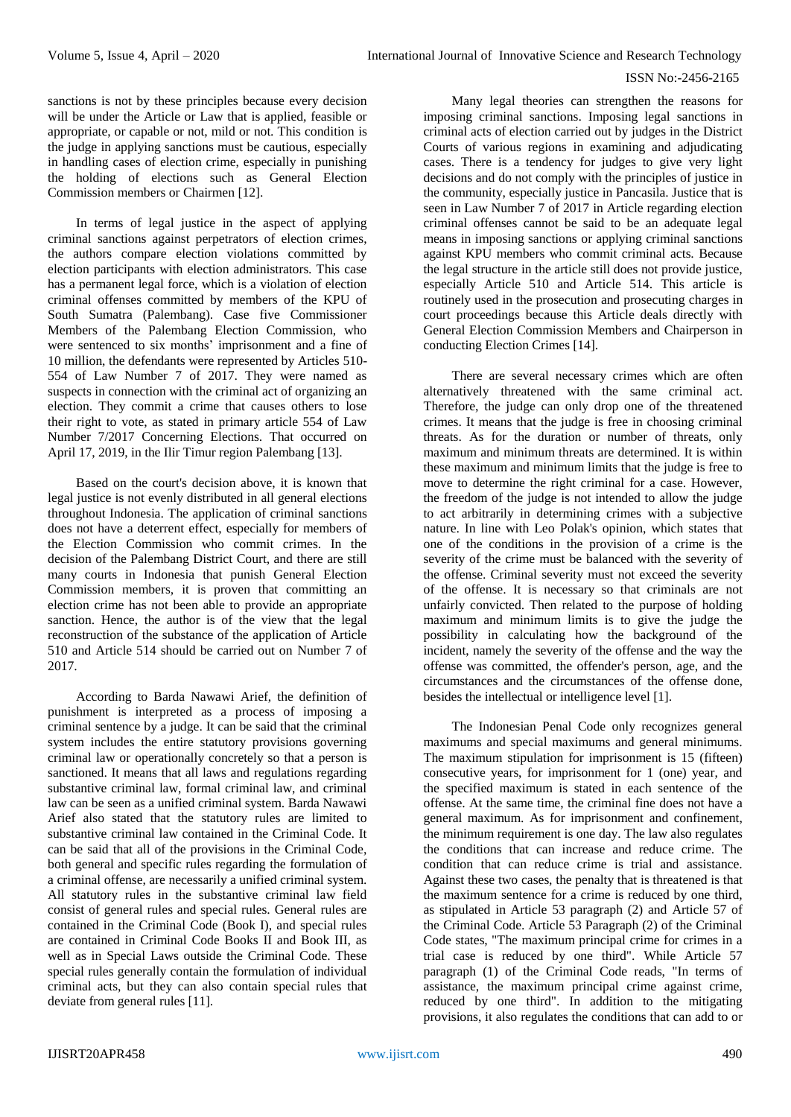sanctions is not by these principles because every decision will be under the Article or Law that is applied, feasible or appropriate, or capable or not, mild or not. This condition is the judge in applying sanctions must be cautious, especially in handling cases of election crime, especially in punishing the holding of elections such as General Election Commission members or Chairmen [12].

In terms of legal justice in the aspect of applying criminal sanctions against perpetrators of election crimes, the authors compare election violations committed by election participants with election administrators. This case has a permanent legal force, which is a violation of election criminal offenses committed by members of the KPU of South Sumatra (Palembang). Case five Commissioner Members of the Palembang Election Commission, who were sentenced to six months' imprisonment and a fine of 10 million, the defendants were represented by Articles 510- 554 of Law Number 7 of 2017. They were named as suspects in connection with the criminal act of organizing an election. They commit a crime that causes others to lose their right to vote, as stated in primary article 554 of Law Number 7/2017 Concerning Elections. That occurred on April 17, 2019, in the Ilir Timur region Palembang [13].

Based on the court's decision above, it is known that legal justice is not evenly distributed in all general elections throughout Indonesia. The application of criminal sanctions does not have a deterrent effect, especially for members of the Election Commission who commit crimes. In the decision of the Palembang District Court, and there are still many courts in Indonesia that punish General Election Commission members, it is proven that committing an election crime has not been able to provide an appropriate sanction. Hence, the author is of the view that the legal reconstruction of the substance of the application of Article 510 and Article 514 should be carried out on Number 7 of 2017.

According to Barda Nawawi Arief, the definition of punishment is interpreted as a process of imposing a criminal sentence by a judge. It can be said that the criminal system includes the entire statutory provisions governing criminal law or operationally concretely so that a person is sanctioned. It means that all laws and regulations regarding substantive criminal law, formal criminal law, and criminal law can be seen as a unified criminal system. Barda Nawawi Arief also stated that the statutory rules are limited to substantive criminal law contained in the Criminal Code. It can be said that all of the provisions in the Criminal Code, both general and specific rules regarding the formulation of a criminal offense, are necessarily a unified criminal system. All statutory rules in the substantive criminal law field consist of general rules and special rules. General rules are contained in the Criminal Code (Book I), and special rules are contained in Criminal Code Books II and Book III, as well as in Special Laws outside the Criminal Code. These special rules generally contain the formulation of individual criminal acts, but they can also contain special rules that deviate from general rules [11].

Many legal theories can strengthen the reasons for imposing criminal sanctions. Imposing legal sanctions in criminal acts of election carried out by judges in the District Courts of various regions in examining and adjudicating cases. There is a tendency for judges to give very light decisions and do not comply with the principles of justice in the community, especially justice in Pancasila. Justice that is seen in Law Number 7 of 2017 in Article regarding election criminal offenses cannot be said to be an adequate legal means in imposing sanctions or applying criminal sanctions against KPU members who commit criminal acts. Because the legal structure in the article still does not provide justice, especially Article 510 and Article 514. This article is routinely used in the prosecution and prosecuting charges in court proceedings because this Article deals directly with General Election Commission Members and Chairperson in conducting Election Crimes [14].

There are several necessary crimes which are often alternatively threatened with the same criminal act. Therefore, the judge can only drop one of the threatened crimes. It means that the judge is free in choosing criminal threats. As for the duration or number of threats, only maximum and minimum threats are determined. It is within these maximum and minimum limits that the judge is free to move to determine the right criminal for a case. However, the freedom of the judge is not intended to allow the judge to act arbitrarily in determining crimes with a subjective nature. In line with Leo Polak's opinion, which states that one of the conditions in the provision of a crime is the severity of the crime must be balanced with the severity of the offense. Criminal severity must not exceed the severity of the offense. It is necessary so that criminals are not unfairly convicted. Then related to the purpose of holding maximum and minimum limits is to give the judge the possibility in calculating how the background of the incident, namely the severity of the offense and the way the offense was committed, the offender's person, age, and the circumstances and the circumstances of the offense done, besides the intellectual or intelligence level [1].

The Indonesian Penal Code only recognizes general maximums and special maximums and general minimums. The maximum stipulation for imprisonment is 15 (fifteen) consecutive years, for imprisonment for 1 (one) year, and the specified maximum is stated in each sentence of the offense. At the same time, the criminal fine does not have a general maximum. As for imprisonment and confinement, the minimum requirement is one day. The law also regulates the conditions that can increase and reduce crime. The condition that can reduce crime is trial and assistance. Against these two cases, the penalty that is threatened is that the maximum sentence for a crime is reduced by one third, as stipulated in Article 53 paragraph (2) and Article 57 of the Criminal Code. Article 53 Paragraph (2) of the Criminal Code states, "The maximum principal crime for crimes in a trial case is reduced by one third". While Article 57 paragraph (1) of the Criminal Code reads, "In terms of assistance, the maximum principal crime against crime, reduced by one third". In addition to the mitigating provisions, it also regulates the conditions that can add to or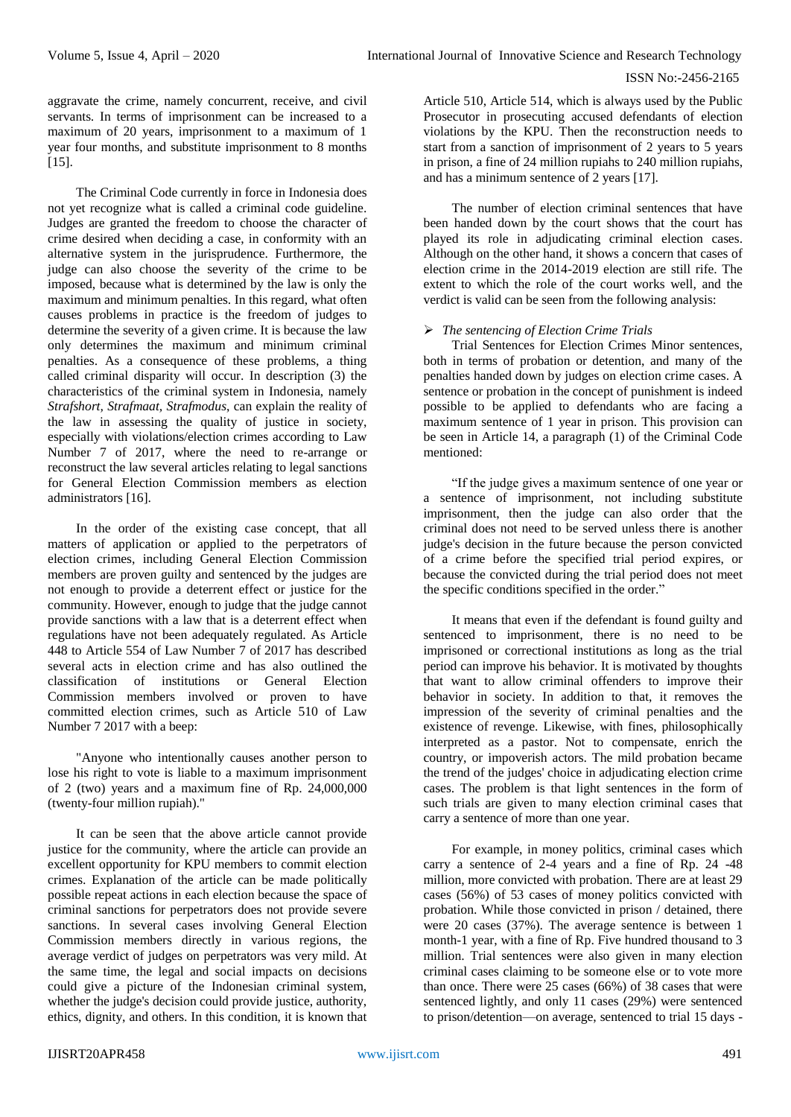aggravate the crime, namely concurrent, receive, and civil servants. In terms of imprisonment can be increased to a maximum of 20 years, imprisonment to a maximum of 1 year four months, and substitute imprisonment to 8 months  $[15]$ .

The Criminal Code currently in force in Indonesia does not yet recognize what is called a criminal code guideline. Judges are granted the freedom to choose the character of crime desired when deciding a case, in conformity with an alternative system in the jurisprudence. Furthermore, the judge can also choose the severity of the crime to be imposed, because what is determined by the law is only the maximum and minimum penalties. In this regard, what often causes problems in practice is the freedom of judges to determine the severity of a given crime. It is because the law only determines the maximum and minimum criminal penalties. As a consequence of these problems, a thing called criminal disparity will occur. In description (3) the characteristics of the criminal system in Indonesia, namely *Strafshort, Strafmaat, Strafmodus*, can explain the reality of the law in assessing the quality of justice in society, especially with violations/election crimes according to Law Number 7 of 2017, where the need to re-arrange or reconstruct the law several articles relating to legal sanctions for General Election Commission members as election administrators [16].

In the order of the existing case concept, that all matters of application or applied to the perpetrators of election crimes, including General Election Commission members are proven guilty and sentenced by the judges are not enough to provide a deterrent effect or justice for the community. However, enough to judge that the judge cannot provide sanctions with a law that is a deterrent effect when regulations have not been adequately regulated. As Article 448 to Article 554 of Law Number 7 of 2017 has described several acts in election crime and has also outlined the classification of institutions or General Election Commission members involved or proven to have committed election crimes, such as Article 510 of Law Number 7 2017 with a beep:

"Anyone who intentionally causes another person to lose his right to vote is liable to a maximum imprisonment of 2 (two) years and a maximum fine of Rp. 24,000,000 (twenty-four million rupiah)."

It can be seen that the above article cannot provide justice for the community, where the article can provide an excellent opportunity for KPU members to commit election crimes. Explanation of the article can be made politically possible repeat actions in each election because the space of criminal sanctions for perpetrators does not provide severe sanctions. In several cases involving General Election Commission members directly in various regions, the average verdict of judges on perpetrators was very mild. At the same time, the legal and social impacts on decisions could give a picture of the Indonesian criminal system, whether the judge's decision could provide justice, authority, ethics, dignity, and others. In this condition, it is known that

Article 510, Article 514, which is always used by the Public Prosecutor in prosecuting accused defendants of election violations by the KPU. Then the reconstruction needs to start from a sanction of imprisonment of 2 years to 5 years in prison, a fine of 24 million rupiahs to 240 million rupiahs, and has a minimum sentence of 2 years [17].

The number of election criminal sentences that have been handed down by the court shows that the court has played its role in adjudicating criminal election cases. Although on the other hand, it shows a concern that cases of election crime in the 2014-2019 election are still rife. The extent to which the role of the court works well, and the verdict is valid can be seen from the following analysis:

# *The sentencing of Election Crime Trials*

Trial Sentences for Election Crimes Minor sentences, both in terms of probation or detention, and many of the penalties handed down by judges on election crime cases. A sentence or probation in the concept of punishment is indeed possible to be applied to defendants who are facing a maximum sentence of 1 year in prison. This provision can be seen in Article 14, a paragraph (1) of the Criminal Code mentioned:

―If the judge gives a maximum sentence of one year or a sentence of imprisonment, not including substitute imprisonment, then the judge can also order that the criminal does not need to be served unless there is another judge's decision in the future because the person convicted of a crime before the specified trial period expires, or because the convicted during the trial period does not meet the specific conditions specified in the order."

It means that even if the defendant is found guilty and sentenced to imprisonment, there is no need to be imprisoned or correctional institutions as long as the trial period can improve his behavior. It is motivated by thoughts that want to allow criminal offenders to improve their behavior in society. In addition to that, it removes the impression of the severity of criminal penalties and the existence of revenge. Likewise, with fines, philosophically interpreted as a pastor. Not to compensate, enrich the country, or impoverish actors. The mild probation became the trend of the judges' choice in adjudicating election crime cases. The problem is that light sentences in the form of such trials are given to many election criminal cases that carry a sentence of more than one year.

For example, in money politics, criminal cases which carry a sentence of 2-4 years and a fine of Rp. 24 -48 million, more convicted with probation. There are at least 29 cases (56%) of 53 cases of money politics convicted with probation. While those convicted in prison / detained, there were 20 cases (37%). The average sentence is between 1 month-1 year, with a fine of Rp. Five hundred thousand to 3 million. Trial sentences were also given in many election criminal cases claiming to be someone else or to vote more than once. There were 25 cases (66%) of 38 cases that were sentenced lightly, and only 11 cases (29%) were sentenced to prison/detention—on average, sentenced to trial 15 days -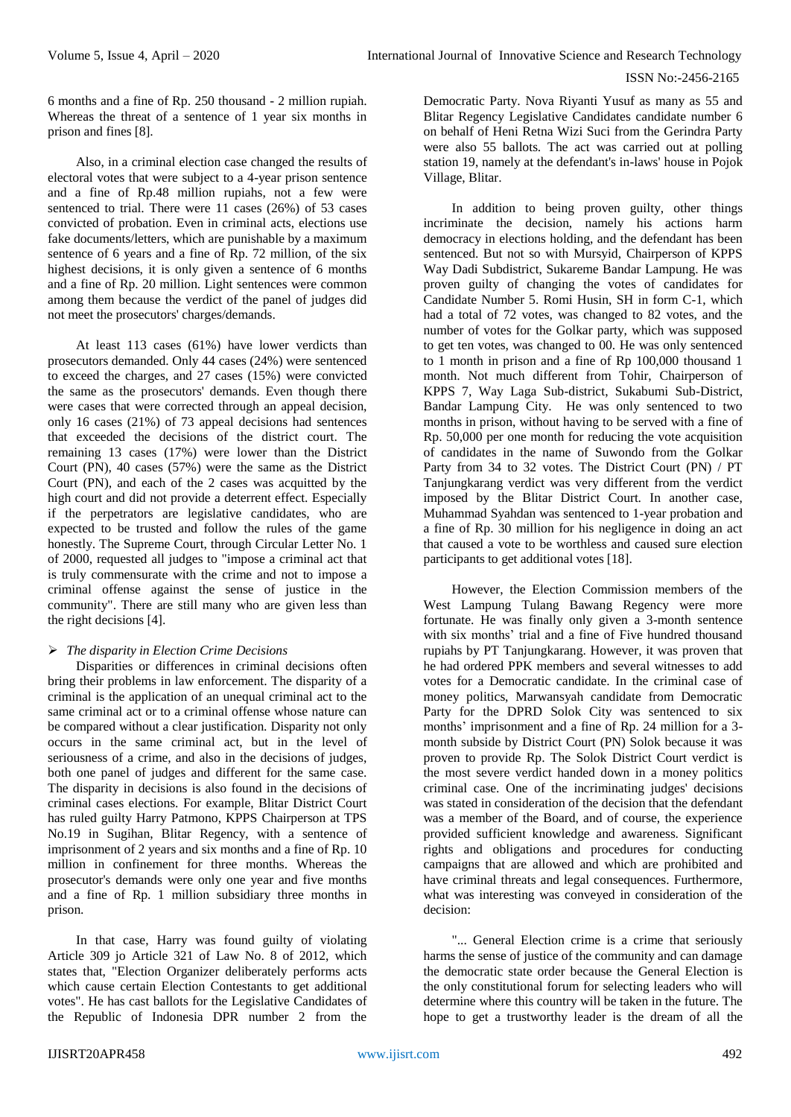6 months and a fine of Rp. 250 thousand - 2 million rupiah. Whereas the threat of a sentence of 1 year six months in prison and fines [8].

Also, in a criminal election case changed the results of electoral votes that were subject to a 4-year prison sentence and a fine of Rp.48 million rupiahs, not a few were sentenced to trial. There were 11 cases (26%) of 53 cases convicted of probation. Even in criminal acts, elections use fake documents/letters, which are punishable by a maximum sentence of 6 years and a fine of Rp. 72 million, of the six highest decisions, it is only given a sentence of 6 months and a fine of Rp. 20 million. Light sentences were common among them because the verdict of the panel of judges did not meet the prosecutors' charges/demands.

At least 113 cases (61%) have lower verdicts than prosecutors demanded. Only 44 cases (24%) were sentenced to exceed the charges, and 27 cases (15%) were convicted the same as the prosecutors' demands. Even though there were cases that were corrected through an appeal decision, only 16 cases (21%) of 73 appeal decisions had sentences that exceeded the decisions of the district court. The remaining 13 cases (17%) were lower than the District Court (PN), 40 cases (57%) were the same as the District Court (PN), and each of the 2 cases was acquitted by the high court and did not provide a deterrent effect. Especially if the perpetrators are legislative candidates, who are expected to be trusted and follow the rules of the game honestly. The Supreme Court, through Circular Letter No. 1 of 2000, requested all judges to "impose a criminal act that is truly commensurate with the crime and not to impose a criminal offense against the sense of justice in the community". There are still many who are given less than the right decisions [4].

# *The disparity in Election Crime Decisions*

Disparities or differences in criminal decisions often bring their problems in law enforcement. The disparity of a criminal is the application of an unequal criminal act to the same criminal act or to a criminal offense whose nature can be compared without a clear justification. Disparity not only occurs in the same criminal act, but in the level of seriousness of a crime, and also in the decisions of judges, both one panel of judges and different for the same case. The disparity in decisions is also found in the decisions of criminal cases elections. For example, Blitar District Court has ruled guilty Harry Patmono, KPPS Chairperson at TPS No.19 in Sugihan, Blitar Regency, with a sentence of imprisonment of 2 years and six months and a fine of Rp. 10 million in confinement for three months. Whereas the prosecutor's demands were only one year and five months and a fine of Rp. 1 million subsidiary three months in prison.

In that case, Harry was found guilty of violating Article 309 jo Article 321 of Law No. 8 of 2012, which states that, "Election Organizer deliberately performs acts which cause certain Election Contestants to get additional votes". He has cast ballots for the Legislative Candidates of the Republic of Indonesia DPR number 2 from the

Democratic Party. Nova Riyanti Yusuf as many as 55 and Blitar Regency Legislative Candidates candidate number 6 on behalf of Heni Retna Wizi Suci from the Gerindra Party were also 55 ballots. The act was carried out at polling station 19, namely at the defendant's in-laws' house in Pojok Village, Blitar.

In addition to being proven guilty, other things incriminate the decision, namely his actions harm democracy in elections holding, and the defendant has been sentenced. But not so with Mursyid, Chairperson of KPPS Way Dadi Subdistrict, Sukareme Bandar Lampung. He was proven guilty of changing the votes of candidates for Candidate Number 5. Romi Husin, SH in form C-1, which had a total of 72 votes, was changed to 82 votes, and the number of votes for the Golkar party, which was supposed to get ten votes, was changed to 00. He was only sentenced to 1 month in prison and a fine of Rp 100,000 thousand 1 month. Not much different from Tohir, Chairperson of KPPS 7, Way Laga Sub-district, Sukabumi Sub-District, Bandar Lampung City. He was only sentenced to two months in prison, without having to be served with a fine of Rp. 50,000 per one month for reducing the vote acquisition of candidates in the name of Suwondo from the Golkar Party from 34 to 32 votes. The District Court (PN) / PT Tanjungkarang verdict was very different from the verdict imposed by the Blitar District Court. In another case, Muhammad Syahdan was sentenced to 1-year probation and a fine of Rp. 30 million for his negligence in doing an act that caused a vote to be worthless and caused sure election participants to get additional votes [18].

However, the Election Commission members of the West Lampung Tulang Bawang Regency were more fortunate. He was finally only given a 3-month sentence with six months' trial and a fine of Five hundred thousand rupiahs by PT Tanjungkarang. However, it was proven that he had ordered PPK members and several witnesses to add votes for a Democratic candidate. In the criminal case of money politics, Marwansyah candidate from Democratic Party for the DPRD Solok City was sentenced to six months' imprisonment and a fine of Rp. 24 million for a 3 month subside by District Court (PN) Solok because it was proven to provide Rp. The Solok District Court verdict is the most severe verdict handed down in a money politics criminal case. One of the incriminating judges' decisions was stated in consideration of the decision that the defendant was a member of the Board, and of course, the experience provided sufficient knowledge and awareness. Significant rights and obligations and procedures for conducting campaigns that are allowed and which are prohibited and have criminal threats and legal consequences. Furthermore, what was interesting was conveyed in consideration of the decision:

"... General Election crime is a crime that seriously harms the sense of justice of the community and can damage the democratic state order because the General Election is the only constitutional forum for selecting leaders who will determine where this country will be taken in the future. The hope to get a trustworthy leader is the dream of all the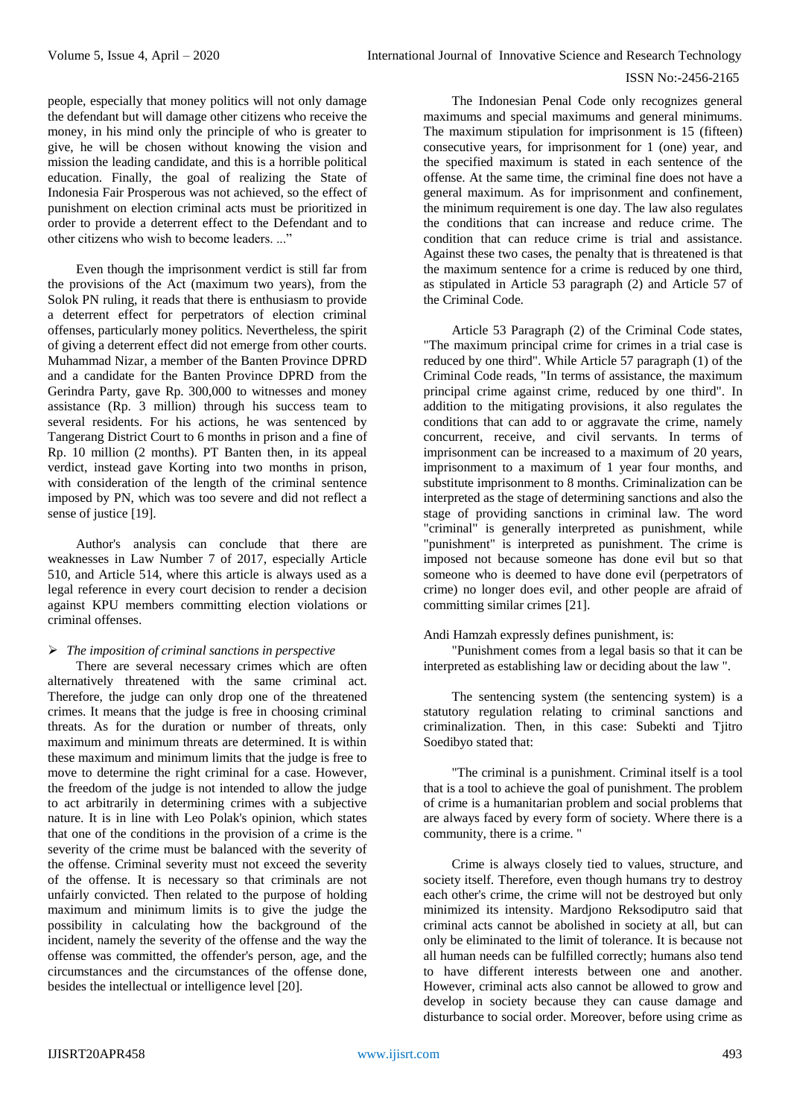people, especially that money politics will not only damage the defendant but will damage other citizens who receive the money, in his mind only the principle of who is greater to give, he will be chosen without knowing the vision and mission the leading candidate, and this is a horrible political education. Finally, the goal of realizing the State of Indonesia Fair Prosperous was not achieved, so the effect of punishment on election criminal acts must be prioritized in order to provide a deterrent effect to the Defendant and to other citizens who wish to become leaders. ...

Even though the imprisonment verdict is still far from the provisions of the Act (maximum two years), from the Solok PN ruling, it reads that there is enthusiasm to provide a deterrent effect for perpetrators of election criminal offenses, particularly money politics. Nevertheless, the spirit of giving a deterrent effect did not emerge from other courts. Muhammad Nizar, a member of the Banten Province DPRD and a candidate for the Banten Province DPRD from the Gerindra Party, gave Rp. 300,000 to witnesses and money assistance (Rp. 3 million) through his success team to several residents. For his actions, he was sentenced by Tangerang District Court to 6 months in prison and a fine of Rp. 10 million (2 months). PT Banten then, in its appeal verdict, instead gave Korting into two months in prison, with consideration of the length of the criminal sentence imposed by PN, which was too severe and did not reflect a sense of justice [19].

Author's analysis can conclude that there are weaknesses in Law Number 7 of 2017, especially Article 510, and Article 514, where this article is always used as a legal reference in every court decision to render a decision against KPU members committing election violations or criminal offenses.

# *The imposition of criminal sanctions in perspective*

There are several necessary crimes which are often alternatively threatened with the same criminal act. Therefore, the judge can only drop one of the threatened crimes. It means that the judge is free in choosing criminal threats. As for the duration or number of threats, only maximum and minimum threats are determined. It is within these maximum and minimum limits that the judge is free to move to determine the right criminal for a case. However, the freedom of the judge is not intended to allow the judge to act arbitrarily in determining crimes with a subjective nature. It is in line with Leo Polak's opinion, which states that one of the conditions in the provision of a crime is the severity of the crime must be balanced with the severity of the offense. Criminal severity must not exceed the severity of the offense. It is necessary so that criminals are not unfairly convicted. Then related to the purpose of holding maximum and minimum limits is to give the judge the possibility in calculating how the background of the incident, namely the severity of the offense and the way the offense was committed, the offender's person, age, and the circumstances and the circumstances of the offense done, besides the intellectual or intelligence level [20].

The Indonesian Penal Code only recognizes general maximums and special maximums and general minimums. The maximum stipulation for imprisonment is 15 (fifteen) consecutive years, for imprisonment for 1 (one) year, and the specified maximum is stated in each sentence of the offense. At the same time, the criminal fine does not have a general maximum. As for imprisonment and confinement, the minimum requirement is one day. The law also regulates the conditions that can increase and reduce crime. The condition that can reduce crime is trial and assistance. Against these two cases, the penalty that is threatened is that the maximum sentence for a crime is reduced by one third, as stipulated in Article 53 paragraph (2) and Article 57 of the Criminal Code.

Article 53 Paragraph (2) of the Criminal Code states, "The maximum principal crime for crimes in a trial case is reduced by one third". While Article 57 paragraph (1) of the Criminal Code reads, "In terms of assistance, the maximum principal crime against crime, reduced by one third". In addition to the mitigating provisions, it also regulates the conditions that can add to or aggravate the crime, namely concurrent, receive, and civil servants. In terms of imprisonment can be increased to a maximum of 20 years, imprisonment to a maximum of 1 year four months, and substitute imprisonment to 8 months. Criminalization can be interpreted as the stage of determining sanctions and also the stage of providing sanctions in criminal law. The word "criminal" is generally interpreted as punishment, while "punishment" is interpreted as punishment. The crime is imposed not because someone has done evil but so that someone who is deemed to have done evil (perpetrators of crime) no longer does evil, and other people are afraid of committing similar crimes [21].

# Andi Hamzah expressly defines punishment, is:

"Punishment comes from a legal basis so that it can be interpreted as establishing law or deciding about the law ".

The sentencing system (the sentencing system) is a statutory regulation relating to criminal sanctions and criminalization. Then, in this case: Subekti and Tjitro Soedibyo stated that:

"The criminal is a punishment. Criminal itself is a tool that is a tool to achieve the goal of punishment. The problem of crime is a humanitarian problem and social problems that are always faced by every form of society. Where there is a community, there is a crime. "

Crime is always closely tied to values, structure, and society itself. Therefore, even though humans try to destroy each other's crime, the crime will not be destroyed but only minimized its intensity. Mardjono Reksodiputro said that criminal acts cannot be abolished in society at all, but can only be eliminated to the limit of tolerance. It is because not all human needs can be fulfilled correctly; humans also tend to have different interests between one and another. However, criminal acts also cannot be allowed to grow and develop in society because they can cause damage and disturbance to social order. Moreover, before using crime as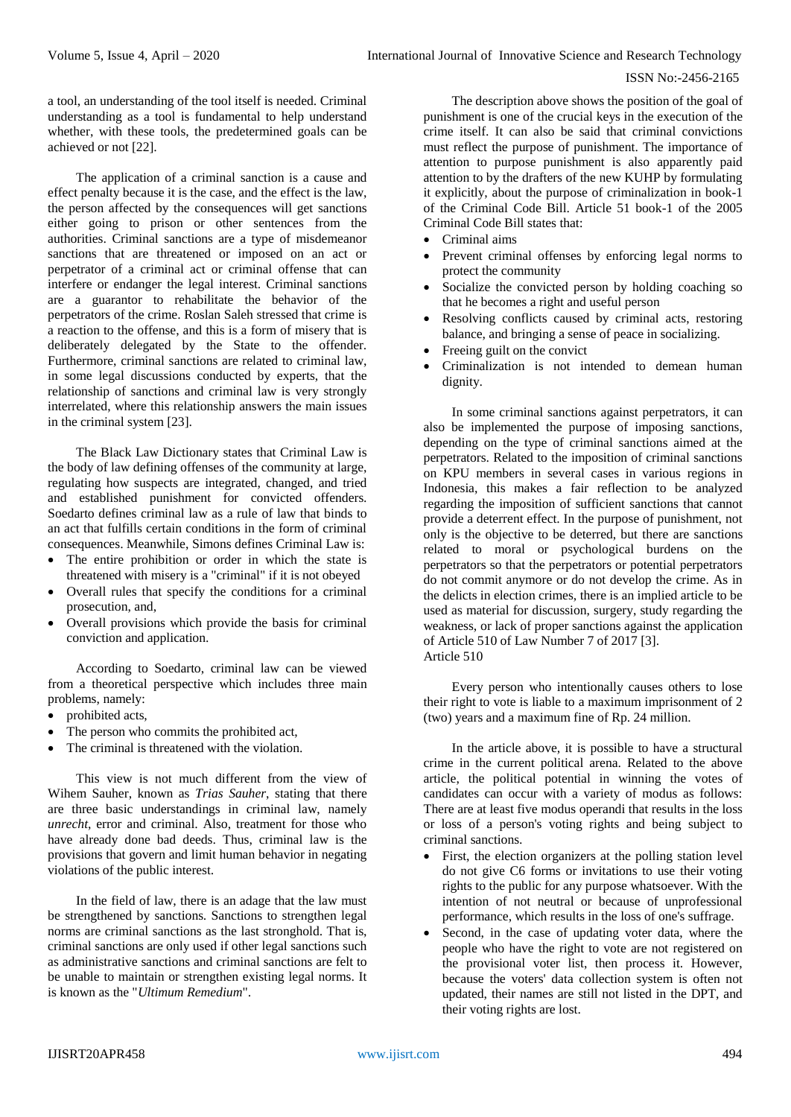a tool, an understanding of the tool itself is needed. Criminal understanding as a tool is fundamental to help understand whether, with these tools, the predetermined goals can be achieved or not [22].

The application of a criminal sanction is a cause and effect penalty because it is the case, and the effect is the law, the person affected by the consequences will get sanctions either going to prison or other sentences from the authorities. Criminal sanctions are a type of misdemeanor sanctions that are threatened or imposed on an act or perpetrator of a criminal act or criminal offense that can interfere or endanger the legal interest. Criminal sanctions are a guarantor to rehabilitate the behavior of the perpetrators of the crime. Roslan Saleh stressed that crime is a reaction to the offense, and this is a form of misery that is deliberately delegated by the State to the offender. Furthermore, criminal sanctions are related to criminal law, in some legal discussions conducted by experts, that the relationship of sanctions and criminal law is very strongly interrelated, where this relationship answers the main issues in the criminal system [23].

The Black Law Dictionary states that Criminal Law is the body of law defining offenses of the community at large, regulating how suspects are integrated, changed, and tried and established punishment for convicted offenders. Soedarto defines criminal law as a rule of law that binds to an act that fulfills certain conditions in the form of criminal consequences. Meanwhile, Simons defines Criminal Law is:

- The entire prohibition or order in which the state is threatened with misery is a "criminal" if it is not obeyed
- Overall rules that specify the conditions for a criminal prosecution, and,
- Overall provisions which provide the basis for criminal conviction and application.

According to Soedarto, criminal law can be viewed from a theoretical perspective which includes three main problems, namely:

- prohibited acts,
- The person who commits the prohibited act,
- The criminal is threatened with the violation.

This view is not much different from the view of Wihem Sauher, known as *Trias Sauher*, stating that there are three basic understandings in criminal law, namely *unrecht*, error and criminal. Also, treatment for those who have already done bad deeds. Thus, criminal law is the provisions that govern and limit human behavior in negating violations of the public interest.

In the field of law, there is an adage that the law must be strengthened by sanctions. Sanctions to strengthen legal norms are criminal sanctions as the last stronghold. That is, criminal sanctions are only used if other legal sanctions such as administrative sanctions and criminal sanctions are felt to be unable to maintain or strengthen existing legal norms. It is known as the "*Ultimum Remedium*".

The description above shows the position of the goal of punishment is one of the crucial keys in the execution of the crime itself. It can also be said that criminal convictions must reflect the purpose of punishment. The importance of attention to purpose punishment is also apparently paid attention to by the drafters of the new KUHP by formulating it explicitly, about the purpose of criminalization in book-1 of the Criminal Code Bill. Article 51 book-1 of the 2005 Criminal Code Bill states that:

- Criminal aims
- Prevent criminal offenses by enforcing legal norms to protect the community
- Socialize the convicted person by holding coaching so that he becomes a right and useful person
- Resolving conflicts caused by criminal acts, restoring balance, and bringing a sense of peace in socializing.
- Freeing guilt on the convict
- Criminalization is not intended to demean human dignity.

In some criminal sanctions against perpetrators, it can also be implemented the purpose of imposing sanctions, depending on the type of criminal sanctions aimed at the perpetrators. Related to the imposition of criminal sanctions on KPU members in several cases in various regions in Indonesia, this makes a fair reflection to be analyzed regarding the imposition of sufficient sanctions that cannot provide a deterrent effect. In the purpose of punishment, not only is the objective to be deterred, but there are sanctions related to moral or psychological burdens on the perpetrators so that the perpetrators or potential perpetrators do not commit anymore or do not develop the crime. As in the delicts in election crimes, there is an implied article to be used as material for discussion, surgery, study regarding the weakness, or lack of proper sanctions against the application of Article 510 of Law Number 7 of 2017 [3]. Article 510

Every person who intentionally causes others to lose their right to vote is liable to a maximum imprisonment of 2 (two) years and a maximum fine of Rp. 24 million.

In the article above, it is possible to have a structural crime in the current political arena. Related to the above article, the political potential in winning the votes of candidates can occur with a variety of modus as follows: There are at least five modus operandi that results in the loss or loss of a person's voting rights and being subject to criminal sanctions.

- First, the election organizers at the polling station level do not give C6 forms or invitations to use their voting rights to the public for any purpose whatsoever. With the intention of not neutral or because of unprofessional performance, which results in the loss of one's suffrage.
- Second, in the case of updating voter data, where the people who have the right to vote are not registered on the provisional voter list, then process it. However, because the voters' data collection system is often not updated, their names are still not listed in the DPT, and their voting rights are lost.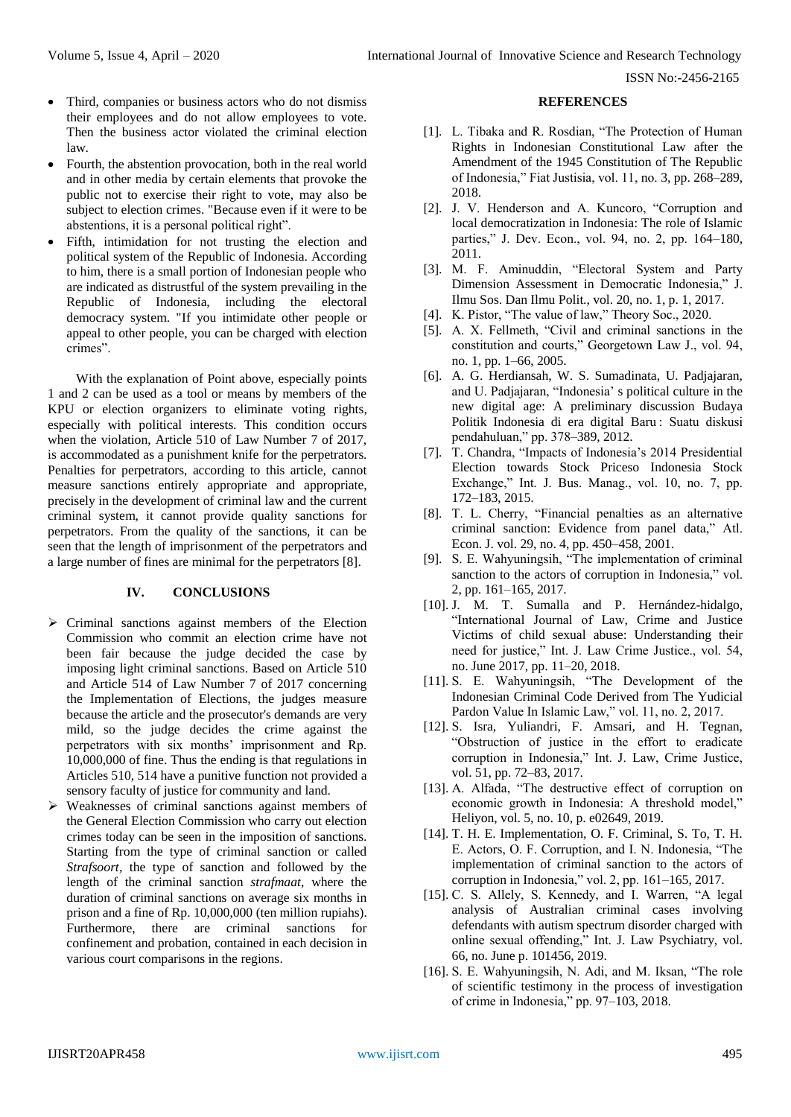- Third, companies or business actors who do not dismiss their employees and do not allow employees to vote. Then the business actor violated the criminal election law.
- Fourth, the abstention provocation, both in the real world and in other media by certain elements that provoke the public not to exercise their right to vote, may also be subject to election crimes. "Because even if it were to be abstentions, it is a personal political right".
- Fifth, intimidation for not trusting the election and political system of the Republic of Indonesia. According to him, there is a small portion of Indonesian people who are indicated as distrustful of the system prevailing in the Republic of Indonesia, including the electoral democracy system. "If you intimidate other people or appeal to other people, you can be charged with election crimes".

With the explanation of Point above, especially points 1 and 2 can be used as a tool or means by members of the KPU or election organizers to eliminate voting rights, especially with political interests. This condition occurs when the violation, Article 510 of Law Number 7 of 2017, is accommodated as a punishment knife for the perpetrators. Penalties for perpetrators, according to this article, cannot measure sanctions entirely appropriate and appropriate, precisely in the development of criminal law and the current criminal system, it cannot provide quality sanctions for perpetrators. From the quality of the sanctions, it can be seen that the length of imprisonment of the perpetrators and a large number of fines are minimal for the perpetrators [8].

# **IV. CONCLUSIONS**

- $\triangleright$  Criminal sanctions against members of the Election Commission who commit an election crime have not been fair because the judge decided the case by imposing light criminal sanctions. Based on Article 510 and Article 514 of Law Number 7 of 2017 concerning the Implementation of Elections, the judges measure because the article and the prosecutor's demands are very mild, so the judge decides the crime against the perpetrators with six months' imprisonment and Rp. 10,000,000 of fine. Thus the ending is that regulations in Articles 510, 514 have a punitive function not provided a sensory faculty of justice for community and land.
- $\triangleright$  Weaknesses of criminal sanctions against members of the General Election Commission who carry out election crimes today can be seen in the imposition of sanctions. Starting from the type of criminal sanction or called *Strafsoort*, the type of sanction and followed by the length of the criminal sanction *strafmaat*, where the duration of criminal sanctions on average six months in prison and a fine of Rp. 10,000,000 (ten million rupiahs). Furthermore, there are criminal sanctions for confinement and probation, contained in each decision in various court comparisons in the regions.

#### **REFERENCES**

- [1]. L. Tibaka and R. Rosdian, "The Protection of Human Rights in Indonesian Constitutional Law after the Amendment of the 1945 Constitution of The Republic of Indonesia," Fiat Justisia, vol. 11, no. 3, pp. 268-289, 2018.
- [2]. J. V. Henderson and A. Kuncoro, "Corruption and local democratization in Indonesia: The role of Islamic parties," J. Dev. Econ., vol. 94, no. 2, pp. 164–180, 2011.
- [3]. M. F. Aminuddin, "Electoral System and Party Dimension Assessment in Democratic Indonesia," J. Ilmu Sos. Dan Ilmu Polit., vol. 20, no. 1, p. 1, 2017.
- [4]. K. Pistor, "The value of law," Theory Soc., 2020.
- [5]. A. X. Fellmeth, "Civil and criminal sanctions in the constitution and courts," Georgetown Law J., vol. 94, no. 1, pp. 1–66, 2005.
- [6]. A. G. Herdiansah, W. S. Sumadinata, U. Padjajaran, and U. Padjajaran, "Indonesia' s political culture in the new digital age: A preliminary discussion Budaya Politik Indonesia di era digital Baru : Suatu diskusi pendahuluan," pp. 378-389, 2012.
- [7]. T. Chandra, "Impacts of Indonesia's 2014 Presidential Election towards Stock Priceso Indonesia Stock Exchange," Int. J. Bus. Manag., vol. 10, no. 7, pp. 172–183, 2015.
- [8]. T. L. Cherry, "Financial penalties as an alternative criminal sanction: Evidence from panel data," Atl. Econ. J. vol. 29, no. 4, pp. 450–458, 2001.
- [9]. S. E. Wahyuningsih, "The implementation of criminal sanction to the actors of corruption in Indonesia," vol. 2, pp. 161–165, 2017.
- [10]. J. M. T. Sumalla and P. Hernández-hidalgo, "International Journal of Law, Crime and Justice Victims of child sexual abuse: Understanding their need for justice," Int. J. Law Crime Justice., vol. 54, no. June 2017, pp. 11–20, 2018.
- [11]. S. E. Wahyuningsih, "The Development of the Indonesian Criminal Code Derived from The Yudicial Pardon Value In Islamic Law," vol. 11, no. 2, 2017.
- [12]. S. Isra, Yuliandri, F. Amsari, and H. Tegnan, ―Obstruction of justice in the effort to eradicate corruption in Indonesia," Int. J. Law, Crime Justice, vol. 51, pp. 72–83, 2017.
- [13]. A. Alfada, "The destructive effect of corruption on economic growth in Indonesia: A threshold model," Heliyon, vol. 5, no. 10, p. e02649, 2019.
- [14]. T. H. E. Implementation, O. F. Criminal, S. To, T. H. E. Actors, O. F. Corruption, and I. N. Indonesia, "The implementation of criminal sanction to the actors of corruption in Indonesia," vol. 2, pp.  $161-165$ , 2017.
- [15]. C. S. Allely, S. Kennedy, and I. Warren, "A legal analysis of Australian criminal cases involving defendants with autism spectrum disorder charged with online sexual offending," Int. J. Law Psychiatry, vol. 66, no. June p. 101456, 2019.
- [16]. S. E. Wahyuningsih, N. Adi, and M. Iksan, "The role of scientific testimony in the process of investigation of crime in Indonesia," pp.  $97-103$ ,  $2018$ .